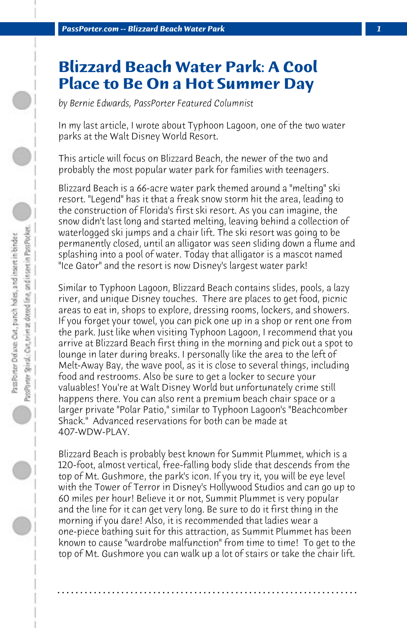## **Blizzard Beach Water Park: A Cool Place to Be On a Hot Summer Day**

*by Bernie Edwards, PassPorter Featured Columnist*

In my last article, I wrote about Typhoon Lagoon, one of the two water parks at the Walt Disney World Resort.

This article will focus on Blizzard Beach, the newer of the two and probably the most popular water park for families with teenagers.

Blizzard Beach is a 66-acre water park themed around a "melting" ski resort. "Legend" has it that a freak snow storm hit the area, leading to the construction of Florida's first ski resort. As you can imagine, the snow didn't last long and started melting, leaving behind a collection of waterlogged ski jumps and a chair lift. The ski resort was going to be permanently closed, until an alligator was seen sliding down a flume and splashing into a pool of water. Today that alligator is a mascot named "Ice Gator" and the resort is now Disney's largest water park!

Similar to Typhoon Lagoon, Blizzard Beach contains slides, pools, a lazy river, and unique Disney touches. There are places to get food, picnic areas to eat in, shops to explore, dressing rooms, lockers, and showers. If you forget your towel, you can pick one up in a shop or rent one from the park. Just like when visiting Typhoon Lagoon, I recommend that you arrive at Blizzard Beach first thing in the morning and pick out a spot to lounge in later during breaks. I personally like the area to the left of Melt-Away Bay, the wave pool, as it is close to several things, including food and restrooms. Also be sure to get a locker to secure your valuables! You're at Walt Disney World but unfortunately crime still happens there. You can also rent a premium beach chair space or a larger private "Polar Patio," similar to Typhoon Lagoon's "Beachcomber Shack." Advanced reservations for both can be made at 407-WDW-PLAY.

Blizzard Beach is probably best known for Summit Plummet, which is a 120-foot, almost vertical, free-falling body slide that descends from the top of Mt. Gushmore, the park's icon. If you try it, you will be eye level with the Tower of Terror in Disney's Hollywood Studios and can go up to 60 miles per hour! Believe it or not, Summit Plummet is very popular and the line for it can get very long. Be sure to do it first thing in the morning if you dare! Also, it is recommended that ladies wear a one-piece bathing suit for this attraction, as Summit Plummet has been known to cause "wardrobe malfunction" from time to time! To get to the top of Mt. Gushmore you can walk up a lot of stairs or take the chair lift.

**. . . . . . . . . . . . . . . . . . . . . . . . . . . . . . . . . . . . . . . . . . . . . . . . . . . . . . . . . . . . . . . . . .**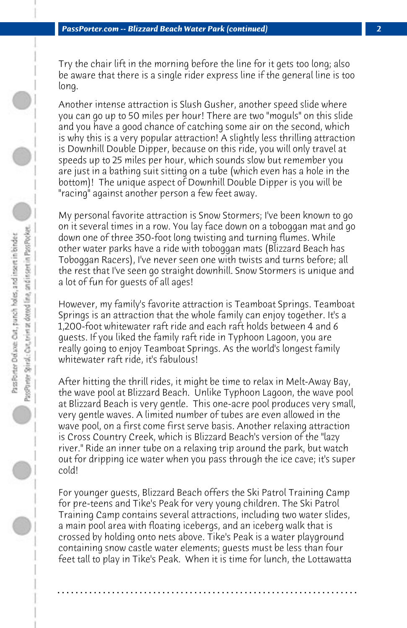Try the chair lift in the morning before the line for it gets too long; also be aware that there is a single rider express line if the general line is too long.

Another intense attraction is Slush Gusher, another speed slide where you can go up to 50 miles per hour! There are two "moguls" on this slide and you have a good chance of catching some air on the second, which is why this is a very popular attraction! A slightly less thrilling attraction is Downhill Double Dipper, because on this ride, you will only travel at speeds up to 25 miles per hour, which sounds slow but remember you are just in a bathing suit sitting on a tube (which even has a hole in the bottom)! The unique aspect of Downhill Double Dipper is you will be "racing" against another person a few feet away.

My personal favorite attraction is Snow Stormers; I've been known to go on it several times in a row. You lay face down on a toboggan mat and go down one of three 350-foot long twisting and turning flumes. While other water parks have a ride with toboggan mats (Blizzard Beach has Toboggan Racers), I've never seen one with twists and turns before; all the rest that I've seen go straight downhill. Snow Stormers is unique and a lot of fun for guests of all ages!

However, my family's favorite attraction is Teamboat Springs. Teamboat Springs is an attraction that the whole family can enjoy together. It's a 1,200-foot whitewater raft ride and each raft holds between 4 and 6 guests. If you liked the family raft ride in Typhoon Lagoon, you are really going to enjoy Teamboat Springs. As the world's longest family whitewater raft ride, it's fabulous!

After hitting the thrill rides, it might be time to relax in Melt-Away Bay, the wave pool at Blizzard Beach. Unlike Typhoon Lagoon, the wave pool at Blizzard Beach is very gentle. This one-acre pool produces very small, very gentle waves. A limited number of tubes are even allowed in the wave pool, on a first come first serve basis. Another relaxing attraction is Cross Country Creek, which is Blizzard Beach's version of the "lazy river." Ride an inner tube on a relaxing trip around the park, but watch out for dripping ice water when you pass through the ice cave; it's super cold!

For younger guests, Blizzard Beach offers the Ski Patrol Training Camp for pre-teens and Tike's Peak for very young children. The Ski Patrol Training Camp contains several attractions, including two water slides, a main pool area with floating icebergs, and an iceberg walk that is crossed by holding onto nets above. Tike's Peak is a water playground containing snow castle water elements; guests must be less than four feet tall to play in Tike's Peak. When it is time for lunch, the Lottawatta

**. . . . . . . . . . . . . . . . . . . . . . . . . . . . . . . . . . . . . . . . . . . . . . . . . . . . . . . . . . . . . . . . . .**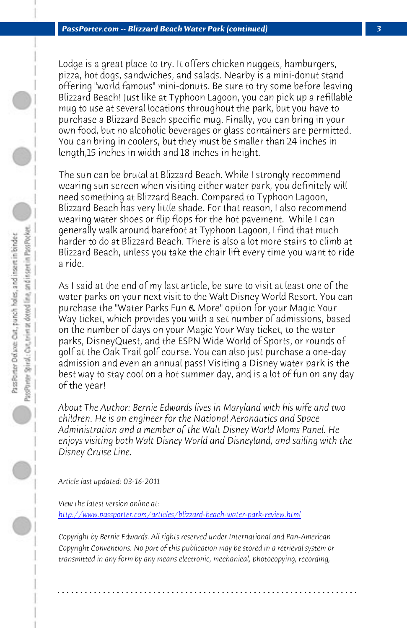*PassPorter.com -- Blizzard Beach Water Park (continued) 3*

Lodge is a great place to try. It offers chicken nuggets, hamburgers, pizza, hot dogs, sandwiches, and salads. Nearby is a mini-donut stand offering "world famous" mini-donuts. Be sure to try some before leaving Blizzard Beach! Just like at Typhoon Lagoon, you can pick up a refillable mug to use at several locations throughout the park, but you have to purchase a Blizzard Beach specific mug. Finally, you can bring in your own food, but no alcoholic beverages or glass containers are permitted. You can bring in coolers, but they must be smaller than 24 inches in length,15 inches in width and 18 inches in height.

The sun can be brutal at Blizzard Beach. While I strongly recommend wearing sun screen when visiting either water park, you definitely will need something at Blizzard Beach. Compared to Typhoon Lagoon, Blizzard Beach has very little shade. For that reason, I also recommend wearing water shoes or flip flops for the hot pavement. While I can generally walk around barefoot at Typhoon Lagoon, I find that much harder to do at Blizzard Beach. There is also a lot more stairs to climb at Blizzard Beach, unless you take the chair lift every time you want to ride a ride.

As I said at the end of my last article, be sure to visit at least one of the water parks on your next visit to the Walt Disney World Resort. You can purchase the "Water Parks Fun & More" option for your Magic Your Way ticket, which provides you with a set number of admissions, based [on the number of days on your Magic Your Way ticket, to th](http://www.passporter.com/articles/blizzard-beach-water-park-review.php)e water parks, DisneyQuest, and the ESPN Wide World of Sports, or rounds of golf at the Oak Trail golf course. You can also just purchase a one-day admission and even an annual pass! Visiting a Disney water park is the best way to stay cool on a hot summer day, and is a lot of fun on any day of the year!

*About The Author: Bernie Edwards lives in Maryland with his wife and two children. He is an engineer for the National Aeronautics and Space Administration and a member of the Walt Disney World Moms Panel. He enjoys visiting both Walt Disney World and Disneyland, and sailing with the Disney Cruise Line.*

*Article last updated: 03-16-2011*

*View the latest version online at: http://www.passporter.com/articles/blizzard-beach-water-park-review.html*

*Copyright by Bernie Edwards. All rights reserved under International and Pan-American Copyright Conventions. No part of this publication may be stored in a retrieval system or transmitted in any form by any means electronic, mechanical, photocopying, recording,*

**. . . . . . . . . . . . . . . . . . . . . . . . . . . . . . . . . . . . . . . . . . . . . . . . . . . . . . . . . . . . . . . . . .**